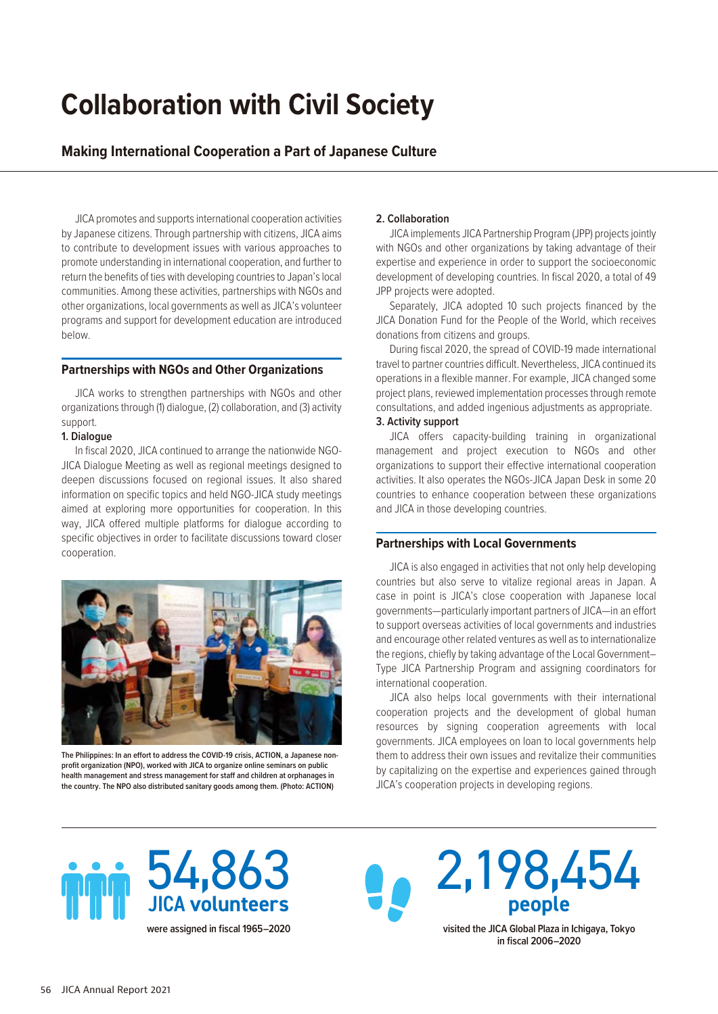# **Collaboration with Civil Society**

# **Making International Cooperation a Part of Japanese Culture**

JICA promotes and supports international cooperation activities by Japanese citizens. Through partnership with citizens, JICA aims to contribute to development issues with various approaches to promote understanding in international cooperation, and further to return the benefits of ties with developing countries to Japan's local communities. Among these activities, partnerships with NGOs and other organizations, local governments as well as JICA's volunteer programs and support for development education are introduced below.

### **Partnerships with NGOs and Other Organizations**

JICA works to strengthen partnerships with NGOs and other organizations through (1) dialogue, (2) collaboration, and (3) activity support.

#### **1. Dialogue**

In fiscal 2020, JICA continued to arrange the nationwide NGO-JICA Dialogue Meeting as well as regional meetings designed to deepen discussions focused on regional issues. It also shared information on specific topics and held NGO-JICA study meetings aimed at exploring more opportunities for cooperation. In this way, JICA offered multiple platforms for dialogue according to specific objectives in order to facilitate discussions toward closer cooperation.



**The Philippines: In an effort to address the COVID-19 crisis, ACTION, a Japanese nonprofit organization (NPO), worked with JICA to organize online seminars on public health management and stress management for staff and children at orphanages in the country. The NPO also distributed sanitary goods among them. (Photo: ACTION)**

### **2. Collaboration**

JICA implements JICA Partnership Program (JPP) projects jointly with NGOs and other organizations by taking advantage of their expertise and experience in order to support the socioeconomic development of developing countries. In fiscal 2020, a total of 49 JPP projects were adopted.

Separately, JICA adopted 10 such projects financed by the JICA Donation Fund for the People of the World, which receives donations from citizens and groups.

During fiscal 2020, the spread of COVID-19 made international travel to partner countries difficult. Nevertheless, JICA continued its operations in a flexible manner. For example, JICA changed some project plans, reviewed implementation processes through remote consultations, and added ingenious adjustments as appropriate.

# **3. Activity support**

JICA offers capacity-building training in organizational management and project execution to NGOs and other organizations to support their effective international cooperation activities. It also operates the NGOs-JICA Japan Desk in some 20 countries to enhance cooperation between these organizations and JICA in those developing countries.

## **Partnerships with Local Governments**

JICA is also engaged in activities that not only help developing countries but also serve to vitalize regional areas in Japan. A case in point is JICA's close cooperation with Japanese local governments—particularly important partners of JICA—in an effort to support overseas activities of local governments and industries and encourage other related ventures as well as to internationalize the regions, chiefly by taking advantage of the Local Government– Type JICA Partnership Program and assigning coordinators for international cooperation.

JICA also helps local governments with their international cooperation projects and the development of global human resources by signing cooperation agreements with local governments. JICA employees on loan to local governments help them to address their own issues and revitalize their communities by capitalizing on the expertise and experiences gained through JICA's cooperation projects in developing regions.



**were assigned in fiscal 1965–2020**

2,198,454 **people visited the JICA Global Plaza in Ichigaya, Tokyo** 

**in fiscal 2006–2020**